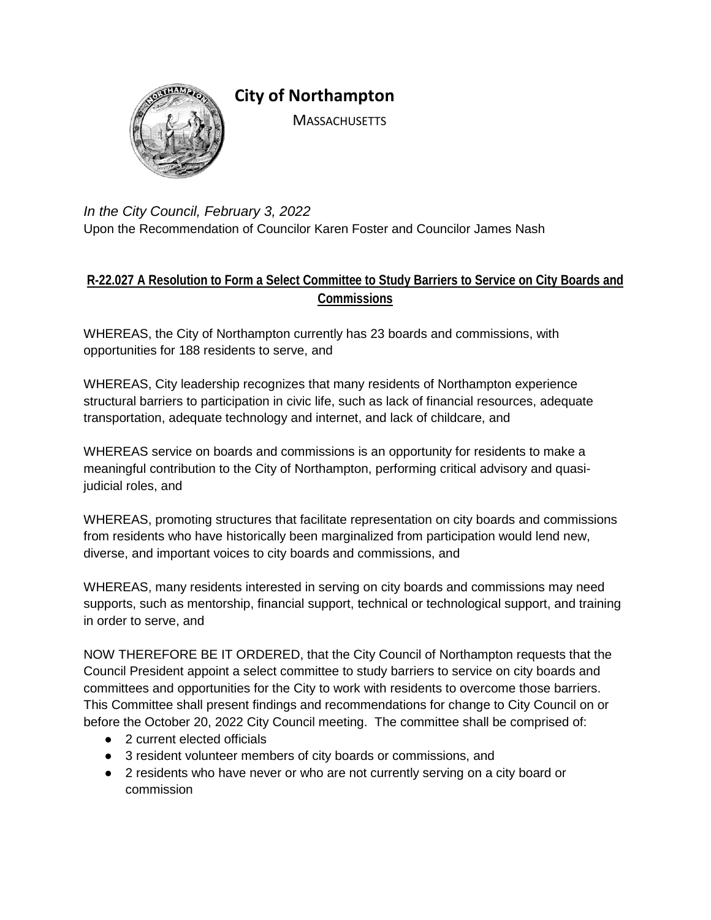

**City of Northampton** 

**MASSACHUSETTS** 

*In the City Council, February 3, 2022* Upon the Recommendation of Councilor Karen Foster and Councilor James Nash

## **R-22.027 A Resolution to Form a Select Committee to Study Barriers to Service on City Boards and Commissions**

WHEREAS, the City of Northampton currently has 23 boards and commissions, with opportunities for 188 residents to serve, and

WHEREAS, City leadership recognizes that many residents of Northampton experience structural barriers to participation in civic life, such as lack of financial resources, adequate transportation, adequate technology and internet, and lack of childcare, and

WHEREAS service on boards and commissions is an opportunity for residents to make a meaningful contribution to the City of Northampton, performing critical advisory and quasijudicial roles, and

WHEREAS, promoting structures that facilitate representation on city boards and commissions from residents who have historically been marginalized from participation would lend new, diverse, and important voices to city boards and commissions, and

WHEREAS, many residents interested in serving on city boards and commissions may need supports, such as mentorship, financial support, technical or technological support, and training in order to serve, and

NOW THEREFORE BE IT ORDERED, that the City Council of Northampton requests that the Council President appoint a select committee to study barriers to service on city boards and committees and opportunities for the City to work with residents to overcome those barriers. This Committee shall present findings and recommendations for change to City Council on or before the October 20, 2022 City Council meeting. The committee shall be comprised of:

- 2 current elected officials
- 3 resident volunteer members of city boards or commissions, and
- 2 residents who have never or who are not currently serving on a city board or commission